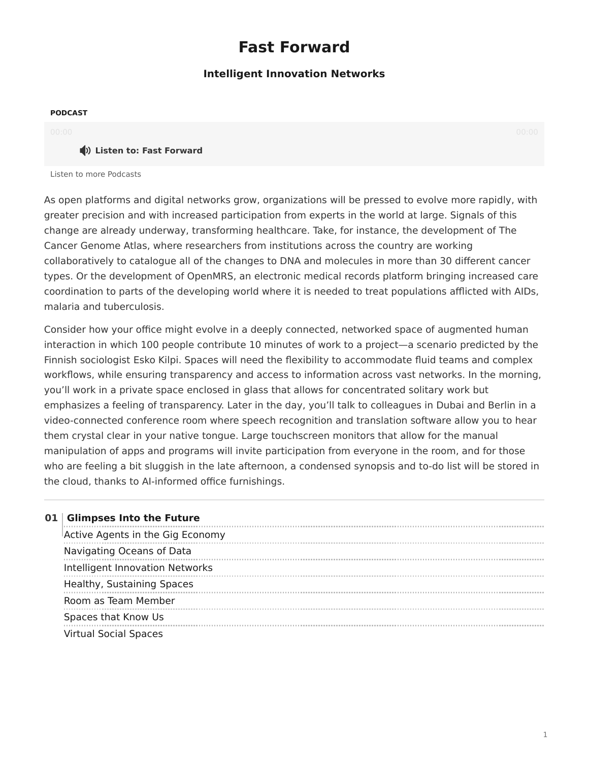## **Fast Forward**

### **Intelligent Innovation Networks**

#### **PODCAST**

#### **(1)** Listen to: Fast Forward

[Listen to more Podcasts](https://www.steelcase.com/eu-en/research/podcasts/)

As open platforms and digital networks grow, organizations will be pressed to evolve more rapidly, with greater precision and with increased participation from experts in the world at large. Signals of this change are already underway, transforming healthcare. Take, for instance, the development of The Cancer Genome Atlas, where researchers from institutions across the country are working collaboratively to catalogue all of the changes to DNA and molecules in more than 30 different cancer types. Or the development of OpenMRS, an electronic medical records platform bringing increased care coordination to parts of the developing world where it is needed to treat populations afflicted with AIDs, malaria and tuberculosis.

Consider how your office might evolve in a deeply connected, networked space of augmented human interaction in which 100 people contribute 10 minutes of work to a project—a scenario predicted by the Finnish sociologist Esko Kilpi. Spaces will need the flexibility to accommodate fluid teams and complex workflows, while ensuring transparency and access to information across vast networks. In the morning, you'll work in a private space enclosed in glass that allows for concentrated solitary work but emphasizes a feeling of transparency. Later in the day, you'll talk to colleagues in Dubai and Berlin in a video-connected conference room where speech recognition and translation software allow you to hear them crystal clear in your native tongue. Large touchscreen monitors that allow for the manual manipulation of apps and programs will invite participation from everyone in the room, and for those who are feeling a bit sluggish in the late afternoon, a condensed synopsis and to-do list will be stored in the cloud, thanks to AI-informed office furnishings.

|  | 01 Glimpses Into the Future      |
|--|----------------------------------|
|  | Active Agents in the Gig Economy |
|  | Navigating Oceans of Data        |
|  | Intelligent Innovation Networks  |
|  | Healthy, Sustaining Spaces       |
|  | Room as Team Member              |
|  | Spaces that Know Us              |
|  | <b>Virtual Social Spaces</b>     |